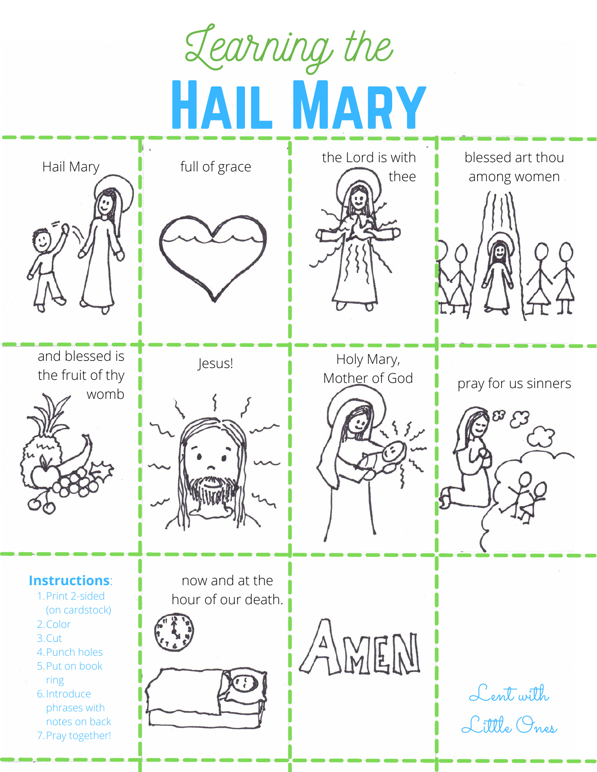Learning the HAIL MARY





the Lord is with thee

blessed art thou among women





**Instructions**:

- 1. Print 2-sided
- (on cardstock)
- 2. Color
- 3. Cut
- 4. Punch holes 5. Put on book
- ring
- 6. Introduce phrases with notes on back
- 7. Pray together!



now and at the hour of our death.





Jesus! Holy Mary,<br>Mother of God







AMEM

Lent with Little Ones